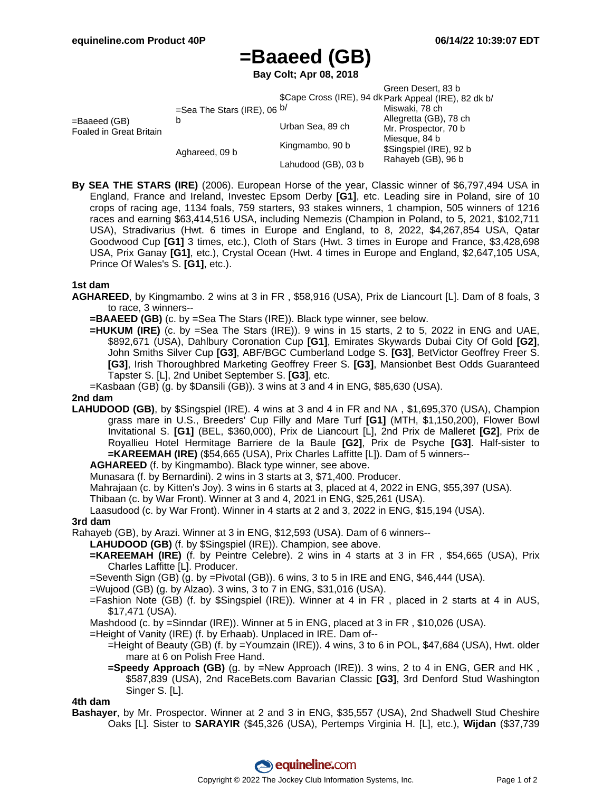# **=Baaeed (GB)**

**Bay Colt; Apr 08, 2018**

|                                         |                                    |                                                       | Green Desert, 83 b                       |  |
|-----------------------------------------|------------------------------------|-------------------------------------------------------|------------------------------------------|--|
|                                         |                                    | \$Cape Cross (IRE), 94 dk Park Appeal (IRE), 82 dk b/ |                                          |  |
| =Baaeed (GB)<br>Foaled in Great Britain | =Sea The Stars (IRE), 06 $b/$<br>b |                                                       | Miswaki, 78 ch                           |  |
|                                         |                                    | Urban Sea, 89 ch                                      | Allegretta (GB), 78 ch                   |  |
|                                         |                                    |                                                       | Mr. Prospector, 70 b                     |  |
|                                         | Aghareed, 09 b                     | Kingmambo, 90 b                                       | Miesque, 84 b<br>\$Singspiel (IRE), 92 b |  |
|                                         |                                    | Lahudood (GB), 03 b                                   | Rahayeb (GB), 96 b                       |  |

**By SEA THE STARS (IRE)** (2006). European Horse of the year, Classic winner of \$6,797,494 USA in England, France and Ireland, Investec Epsom Derby **[G1]**, etc. Leading sire in Poland, sire of 10 crops of racing age, 1134 foals, 759 starters, 93 stakes winners, 1 champion, 505 winners of 1216 races and earning \$63,414,516 USA, including Nemezis (Champion in Poland, to 5, 2021, \$102,711 USA), Stradivarius (Hwt. 6 times in Europe and England, to 8, 2022, \$4,267,854 USA, Qatar Goodwood Cup **[G1]** 3 times, etc.), Cloth of Stars (Hwt. 3 times in Europe and France, \$3,428,698 USA, Prix Ganay **[G1]**, etc.), Crystal Ocean (Hwt. 4 times in Europe and England, \$2,647,105 USA, Prince Of Wales's S. **[G1]**, etc.).

## **1st dam**

- **AGHAREED**, by Kingmambo. 2 wins at 3 in FR , \$58,916 (USA), Prix de Liancourt [L]. Dam of 8 foals, 3 to race, 3 winners--
	- **=BAAEED (GB)** (c. by =Sea The Stars (IRE)). Black type winner, see below.
	- **=HUKUM (IRE)** (c. by =Sea The Stars (IRE)). 9 wins in 15 starts, 2 to 5, 2022 in ENG and UAE, \$892,671 (USA), Dahlbury Coronation Cup **[G1]**, Emirates Skywards Dubai City Of Gold **[G2]**, John Smiths Silver Cup **[G3]**, ABF/BGC Cumberland Lodge S. **[G3]**, BetVictor Geoffrey Freer S. **[G3]**, Irish Thoroughbred Marketing Geoffrey Freer S. **[G3]**, Mansionbet Best Odds Guaranteed Tapster S. [L], 2nd Unibet September S. **[G3]**, etc.
	- =Kasbaan (GB) (g. by \$Dansili (GB)). 3 wins at 3 and 4 in ENG, \$85,630 (USA).

## **2nd dam**

**LAHUDOOD (GB)**, by \$Singspiel (IRE). 4 wins at 3 and 4 in FR and NA , \$1,695,370 (USA), Champion grass mare in U.S., Breeders' Cup Filly and Mare Turf **[G1]** (MTH, \$1,150,200), Flower Bowl Invitational S. **[G1]** (BEL, \$360,000), Prix de Liancourt [L], 2nd Prix de Malleret **[G2]**, Prix de Royallieu Hotel Hermitage Barriere de la Baule **[G2]**, Prix de Psyche **[G3]**. Half-sister to **=KAREEMAH (IRE)** (\$54,665 (USA), Prix Charles Laffitte [L]). Dam of 5 winners--

**AGHAREED** (f. by Kingmambo). Black type winner, see above.

Munasara (f. by Bernardini). 2 wins in 3 starts at 3, \$71,400. Producer.

Mahrajaan (c. by Kitten's Joy). 3 wins in 6 starts at 3, placed at 4, 2022 in ENG, \$55,397 (USA).

Thibaan (c. by War Front). Winner at 3 and 4, 2021 in ENG, \$25,261 (USA).

Laasudood (c. by War Front). Winner in 4 starts at 2 and 3, 2022 in ENG, \$15,194 (USA).

#### **3rd dam**

Rahayeb (GB), by Arazi. Winner at 3 in ENG, \$12,593 (USA). Dam of 6 winners--

**LAHUDOOD (GB)** (f. by \$Singspiel (IRE)). Champion, see above.

**=KAREEMAH (IRE)** (f. by Peintre Celebre). 2 wins in 4 starts at 3 in FR , \$54,665 (USA), Prix Charles Laffitte [L]. Producer.

=Seventh Sign (GB) (g. by =Pivotal (GB)). 6 wins, 3 to 5 in IRE and ENG, \$46,444 (USA).

- =Wujood (GB) (g. by Alzao). 3 wins, 3 to 7 in ENG, \$31,016 (USA).
- =Fashion Note (GB) (f. by \$Singspiel (IRE)). Winner at 4 in FR , placed in 2 starts at 4 in AUS, \$17,471 (USA).

Mashdood (c. by =Sinndar (IRE)). Winner at 5 in ENG, placed at 3 in FR , \$10,026 (USA).

- =Height of Vanity (IRE) (f. by Erhaab). Unplaced in IRE. Dam of--
	- =Height of Beauty (GB) (f. by =Youmzain (IRE)). 4 wins, 3 to 6 in POL, \$47,684 (USA), Hwt. older mare at 6 on Polish Free Hand.
	- **=Speedy Approach (GB)** (g. by =New Approach (IRE)). 3 wins, 2 to 4 in ENG, GER and HK , \$587,839 (USA), 2nd RaceBets.com Bavarian Classic **[G3]**, 3rd Denford Stud Washington Singer S. [L].

#### **4th dam**

**Bashayer**, by Mr. Prospector. Winner at 2 and 3 in ENG, \$35,557 (USA), 2nd Shadwell Stud Cheshire Oaks [L]. Sister to **SARAYIR** (\$45,326 (USA), Pertemps Virginia H. [L], etc.), **Wijdan** (\$37,739